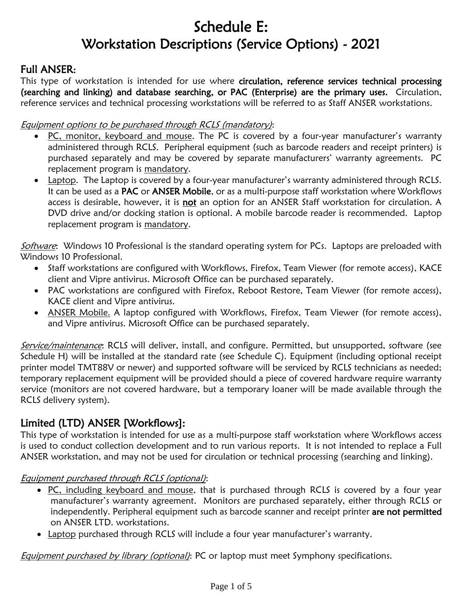# Schedule E: Workstation Descriptions (Service Options) - 2021

# Full ANSER:

This type of workstation is intended for use where circulation, reference services technical processing (searching and linking) and database searching, or PAC (Enterprise) are the primary uses. Circulation, reference services and technical processing workstations will be referred to as Staff ANSER workstations.

#### Equipment options to be purchased through RCLS (mandatory):

- PC, monitor, keyboard and mouse. The PC is covered by a four-year manufacturer's warranty administered through RCLS. Peripheral equipment (such as barcode readers and receipt printers) is purchased separately and may be covered by separate manufacturers' warranty agreements. PC replacement program is mandatory.
- Laptop. The Laptop is covered by a four-year manufacturer's warranty administered through RCLS. It can be used as a PAC or ANSER Mobile, or as a multi-purpose staff workstation where Workflows access is desirable, however, it is not an option for an ANSER Staff workstation for circulation. A DVD drive and/or docking station is optional. A mobile barcode reader is recommended. Laptop replacement program is mandatory.

Software: Windows 10 Professional is the standard operating system for PCs. Laptops are preloaded with Windows 10 Professional.

- Staff workstations are configured with Workflows, Firefox, Team Viewer (for remote access), KACE client and Vipre antivirus. Microsoft Office can be purchased separately.
- PAC workstations are configured with Firefox, Reboot Restore, Team Viewer (for remote access), KACE client and Vipre antivirus.
- ANSER Mobile. A laptop configured with Workflows, Firefox, Team Viewer (for remote access), and Vipre antivirus. Microsoft Office can be purchased separately.

Service/maintenance: RCLS will deliver, install, and configure. Permitted, but unsupported, software (see Schedule H) will be installed at the standard rate (see Schedule C). Equipment (including optional receipt printer model TMT88V or newer) and supported software will be serviced by RCLS technicians as needed; temporary replacement equipment will be provided should a piece of covered hardware require warranty service (monitors are not covered hardware, but a temporary loaner will be made available through the RCLS delivery system).

# Limited (LTD) ANSER [Workflows]:

This type of workstation is intended for use as a multi-purpose staff workstation where Workflows access is used to conduct collection development and to run various reports. It is not intended to replace a Full ANSER workstation, and may not be used for circulation or technical processing (searching and linking).

#### Equipment purchased through RCLS (optional):

- PC, including keyboard and mouse, that is purchased through RCLS is covered by a four year manufacturer's warranty agreement. Monitors are purchased separately, either through RCLS or independently. Peripheral equipment such as barcode scanner and receipt printer are not permitted on ANSER LTD. workstations.
- Laptop purchased through RCLS will include a four year manufacturer's warranty.

Equipment purchased by library (optional): PC or laptop must meet Symphony specifications.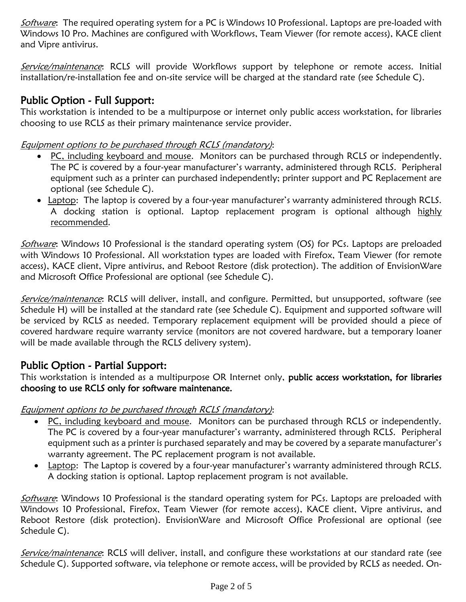Software: The required operating system for a PC is Windows 10 Professional. Laptops are pre-loaded with Windows 10 Pro. Machines are configured with Workflows, Team Viewer (for remote access), KACE client and Vipre antivirus.

Service/maintenance: RCLS will provide Workflows support by telephone or remote access. Initial installation/re-installation fee and on-site service will be charged at the standard rate (see Schedule C).

# Public Option - Full Support:

This workstation is intended to be a multipurpose or internet only public access workstation, for libraries choosing to use RCLS as their primary maintenance service provider.

### Equipment options to be purchased through RCLS (mandatory):

- PC, including keyboard and mouse. Monitors can be purchased through RCLS or independently. The PC is covered by a four-year manufacturer's warranty, administered through RCLS. Peripheral equipment such as a printer can purchased independently; printer support and PC Replacement are optional (see Schedule C).
- Laptop: The laptop is covered by a four-year manufacturer's warranty administered through RCLS. A docking station is optional. Laptop replacement program is optional although highly recommended.

Software: Windows 10 Professional is the standard operating system (OS) for PCs. Laptops are preloaded with Windows 10 Professional. All workstation types are loaded with Firefox, Team Viewer (for remote access), KACE client, Vipre antivirus, and Reboot Restore (disk protection). The addition of EnvisionWare and Microsoft Office Professional are optional (see Schedule C).

Service/maintenance: RCLS will deliver, install, and configure. Permitted, but unsupported, software (see Schedule H) will be installed at the standard rate (see Schedule C). Equipment and supported software will be serviced by RCLS as needed. Temporary replacement equipment will be provided should a piece of covered hardware require warranty service (monitors are not covered hardware, but a temporary loaner will be made available through the RCLS delivery system).

# Public Option - Partial Support:

This workstation is intended as a multipurpose OR Internet only, public access workstation, for libraries choosing to use RCLS only for software maintenance.

Equipment options to be purchased through RCLS (mandatory):

- PC, including keyboard and mouse. Monitors can be purchased through RCLS or independently. The PC is covered by a four-year manufacturer's warranty, administered through RCLS. Peripheral equipment such as a printer is purchased separately and may be covered by a separate manufacturer's warranty agreement. The PC replacement program is not available.
- Laptop: The Laptop is covered by a four-year manufacturer's warranty administered through RCLS. A docking station is optional. Laptop replacement program is not available.

Software: Windows 10 Professional is the standard operating system for PCs. Laptops are preloaded with Windows 10 Professional, Firefox, Team Viewer (for remote access), KACE client, Vipre antivirus, and Reboot Restore (disk protection). EnvisionWare and Microsoft Office Professional are optional (see Schedule C).

Service/maintenance: RCLS will deliver, install, and configure these workstations at our standard rate (see Schedule C). Supported software, via telephone or remote access, will be provided by RCLS as needed. On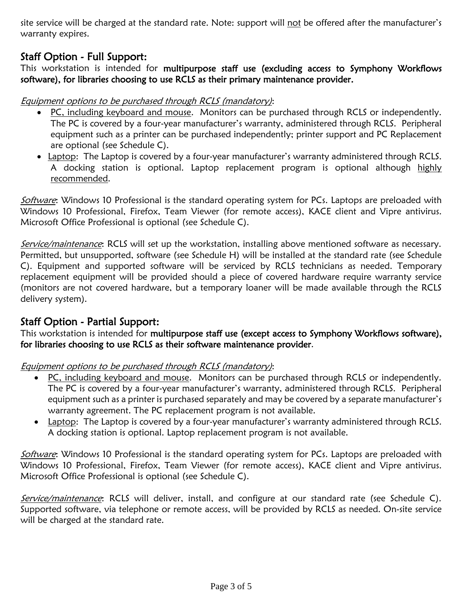site service will be charged at the standard rate. Note: support will not be offered after the manufacturer's warranty expires.

# Staff Option - Full Support:

This workstation is intended for multipurpose staff use (excluding access to Symphony Workflows software), for libraries choosing to use RCLS as their primary maintenance provider.

#### Equipment options to be purchased through RCLS (mandatory):

- PC, including keyboard and mouse. Monitors can be purchased through RCLS or independently. The PC is covered by a four-year manufacturer's warranty, administered through RCLS. Peripheral equipment such as a printer can be purchased independently; printer support and PC Replacement are optional (see Schedule C).
- Laptop: The Laptop is covered by a four-year manufacturer's warranty administered through RCLS. A docking station is optional. Laptop replacement program is optional although highly recommended.

Software: Windows 10 Professional is the standard operating system for PCs. Laptops are preloaded with Windows 10 Professional, Firefox, Team Viewer (for remote access), KACE client and Vipre antivirus. Microsoft Office Professional is optional (see Schedule C).

Service/maintenance: RCLS will set up the workstation, installing above mentioned software as necessary. Permitted, but unsupported, software (see Schedule H) will be installed at the standard rate (see Schedule C). Equipment and supported software will be serviced by RCLS technicians as needed. Temporary replacement equipment will be provided should a piece of covered hardware require warranty service (monitors are not covered hardware, but a temporary loaner will be made available through the RCLS delivery system).

### Staff Option - Partial Support:

This workstation is intended for multipurpose staff use (except access to Symphony Workflows software), for libraries choosing to use RCLS as their software maintenance provider.

Equipment options to be purchased through RCLS (mandatory):

- PC, including keyboard and mouse. Monitors can be purchased through RCLS or independently. The PC is covered by a four-year manufacturer's warranty, administered through RCLS. Peripheral equipment such as a printer is purchased separately and may be covered by a separate manufacturer's warranty agreement. The PC replacement program is not available.
- Laptop: The Laptop is covered by a four-year manufacturer's warranty administered through RCLS. A docking station is optional. Laptop replacement program is not available.

Software: Windows 10 Professional is the standard operating system for PCs. Laptops are preloaded with Windows 10 Professional, Firefox, Team Viewer (for remote access), KACE client and Vipre antivirus. Microsoft Office Professional is optional (see Schedule C).

Service/maintenance: RCLS will deliver, install, and configure at our standard rate (see Schedule C). Supported software, via telephone or remote access, will be provided by RCLS as needed. On-site service will be charged at the standard rate.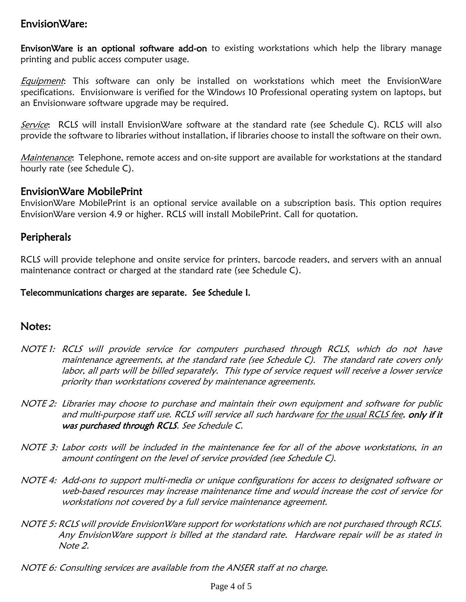### EnvisionWare:

EnvisonWare is an optional software add-on to existing workstations which help the library manage printing and public access computer usage.

**Equipment:** This software can only be installed on workstations which meet the EnvisionWare specifications. Envisionware is verified for the Windows 10 Professional operating system on laptops, but an Envisionware software upgrade may be required.

Service: RCLS will install EnvisionWare software at the standard rate (see Schedule C). RCLS will also provide the software to libraries without installation, if libraries choose to install the software on their own.

Maintenance: Telephone, remote access and on-site support are available for workstations at the standard hourly rate (see Schedule C).

### EnvisionWare MobilePrint

EnvisionWare MobilePrint is an optional service available on a subscription basis. This option requires EnvisionWare version 4.9 or higher. RCLS will install MobilePrint. Call for quotation.

### Peripherals

RCLS will provide telephone and onsite service for printers, barcode readers, and servers with an annual maintenance contract or charged at the standard rate (see Schedule C).

#### Telecommunications charges are separate. See Schedule I.

### Notes:

- NOTE 1: RCLS will provide service for computers purchased through RCLS, which do not have maintenance agreements, at the standard rate (see Schedule C). The standard rate covers only labor, all parts will be billed separately. This type of service request will receive a lower service priority than workstations covered by maintenance agreements.
- NOTE 2: Libraries may choose to purchase and maintain their own equipment and software for public and multi-purpose staff use. RCLS will service all such hardware for the usual RCLS fee, only if it was purchased through RCLS. See Schedule C.
- NOTE 3: Labor costs will be included in the maintenance fee for all of the above workstations, in an amount contingent on the level of service provided (see Schedule C).
- NOTE 4: Add-ons to support multi-media or unique configurations for access to designated software or web-based resources may increase maintenance time and would increase the cost of service for workstations not covered by a full service maintenance agreement.
- NOTE 5: RCLS will provide EnvisionWare support for workstations which are not purchased through RCLS. Any EnvisionWare support is billed at the standard rate. Hardware repair will be as stated in Note 2.
- NOTE 6: Consulting services are available from the ANSER staff at no charge.